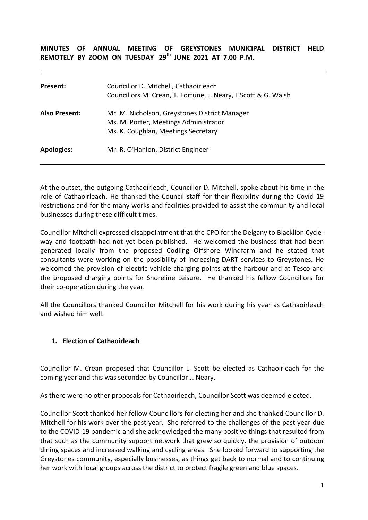## **MINUTES OF ANNUAL MEETING OF GREYSTONES MUNICIPAL DISTRICT HELD REMOTELY BY ZOOM ON TUESDAY 29th JUNE 2021 AT 7.00 P.M.**

| Present:             | Councillor D. Mitchell, Cathaoirleach<br>Councillors M. Crean, T. Fortune, J. Neary, L Scott & G. Walsh                       |
|----------------------|-------------------------------------------------------------------------------------------------------------------------------|
| <b>Also Present:</b> | Mr. M. Nicholson, Greystones District Manager<br>Ms. M. Porter, Meetings Administrator<br>Ms. K. Coughlan, Meetings Secretary |
| <b>Apologies:</b>    | Mr. R. O'Hanlon, District Engineer                                                                                            |

At the outset, the outgoing Cathaoirleach, Councillor D. Mitchell, spoke about his time in the role of Cathaoirleach. He thanked the Council staff for their flexibility during the Covid 19 restrictions and for the many works and facilities provided to assist the community and local businesses during these difficult times.

Councillor Mitchell expressed disappointment that the CPO for the Delgany to Blacklion Cycleway and footpath had not yet been published. He welcomed the business that had been generated locally from the proposed Codling Offshore Windfarm and he stated that consultants were working on the possibility of increasing DART services to Greystones. He welcomed the provision of electric vehicle charging points at the harbour and at Tesco and the proposed charging points for Shoreline Leisure. He thanked his fellow Councillors for their co-operation during the year.

All the Councillors thanked Councillor Mitchell for his work during his year as Cathaoirleach and wished him well.

## **1. Election of Cathaoirleach**

Councillor M. Crean proposed that Councillor L. Scott be elected as Cathaoirleach for the coming year and this was seconded by Councillor J. Neary.

As there were no other proposals for Cathaoirleach, Councillor Scott was deemed elected.

Councillor Scott thanked her fellow Councillors for electing her and she thanked Councillor D. Mitchell for his work over the past year. She referred to the challenges of the past year due to the COVID-19 pandemic and she acknowledged the many positive things that resulted from that such as the community support network that grew so quickly, the provision of outdoor dining spaces and increased walking and cycling areas. She looked forward to supporting the Greystones community, especially businesses, as things get back to normal and to continuing her work with local groups across the district to protect fragile green and blue spaces.